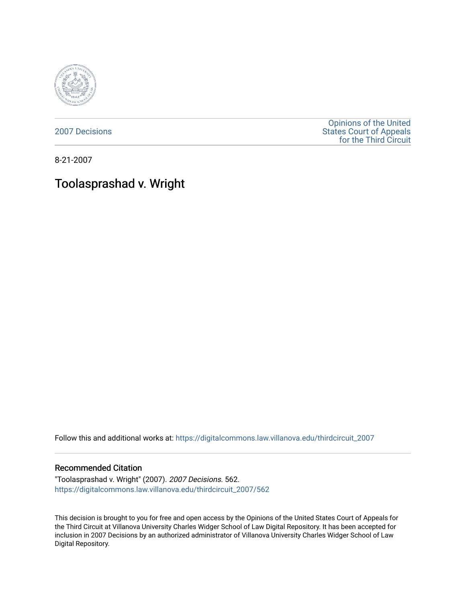

[2007 Decisions](https://digitalcommons.law.villanova.edu/thirdcircuit_2007)

[Opinions of the United](https://digitalcommons.law.villanova.edu/thirdcircuit)  [States Court of Appeals](https://digitalcommons.law.villanova.edu/thirdcircuit)  [for the Third Circuit](https://digitalcommons.law.villanova.edu/thirdcircuit) 

8-21-2007

# Toolasprashad v. Wright

Follow this and additional works at: [https://digitalcommons.law.villanova.edu/thirdcircuit\\_2007](https://digitalcommons.law.villanova.edu/thirdcircuit_2007?utm_source=digitalcommons.law.villanova.edu%2Fthirdcircuit_2007%2F562&utm_medium=PDF&utm_campaign=PDFCoverPages) 

#### Recommended Citation

"Toolasprashad v. Wright" (2007). 2007 Decisions. 562. [https://digitalcommons.law.villanova.edu/thirdcircuit\\_2007/562](https://digitalcommons.law.villanova.edu/thirdcircuit_2007/562?utm_source=digitalcommons.law.villanova.edu%2Fthirdcircuit_2007%2F562&utm_medium=PDF&utm_campaign=PDFCoverPages)

This decision is brought to you for free and open access by the Opinions of the United States Court of Appeals for the Third Circuit at Villanova University Charles Widger School of Law Digital Repository. It has been accepted for inclusion in 2007 Decisions by an authorized administrator of Villanova University Charles Widger School of Law Digital Repository.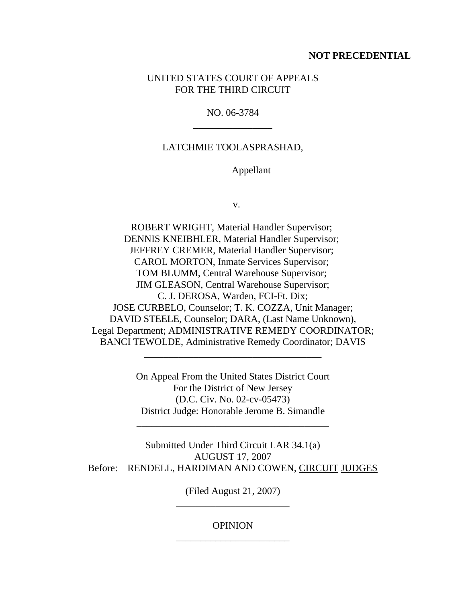### **NOT PRECEDENTIAL**

# UNITED STATES COURT OF APPEALS FOR THE THIRD CIRCUIT

# NO. 06-3784 \_\_\_\_\_\_\_\_\_\_\_\_\_\_\_\_

## LATCHMIE TOOLASPRASHAD,

#### Appellant

v.

ROBERT WRIGHT, Material Handler Supervisor; DENNIS KNEIBHLER, Material Handler Supervisor; JEFFREY CREMER, Material Handler Supervisor; CAROL MORTON, Inmate Services Supervisor; TOM BLUMM, Central Warehouse Supervisor; JIM GLEASON, Central Warehouse Supervisor; C. J. DEROSA, Warden, FCI-Ft. Dix; JOSE CURBELO, Counselor; T. K. COZZA, Unit Manager; DAVID STEELE, Counselor; DARA, (Last Name Unknown), Legal Department; ADMINISTRATIVE REMEDY COORDINATOR; BANCI TEWOLDE, Administrative Remedy Coordinator; DAVIS

> On Appeal From the United States District Court For the District of New Jersey (D.C. Civ. No. 02-cv-05473) District Judge: Honorable Jerome B. Simandle

\_\_\_\_\_\_\_\_\_\_\_\_\_\_\_\_\_\_\_\_\_\_\_\_\_\_\_\_\_\_\_\_\_\_\_\_\_\_\_

\_\_\_\_\_\_\_\_\_\_\_\_\_\_\_\_\_\_\_\_\_\_\_\_\_\_\_\_\_\_\_\_\_\_\_\_

Submitted Under Third Circuit LAR 34.1(a) AUGUST 17, 2007 Before: RENDELL, HARDIMAN AND COWEN, CIRCUIT JUDGES

> (Filed August 21, 2007) \_\_\_\_\_\_\_\_\_\_\_\_\_\_\_\_\_\_\_\_\_\_\_

# **OPINION** \_\_\_\_\_\_\_\_\_\_\_\_\_\_\_\_\_\_\_\_\_\_\_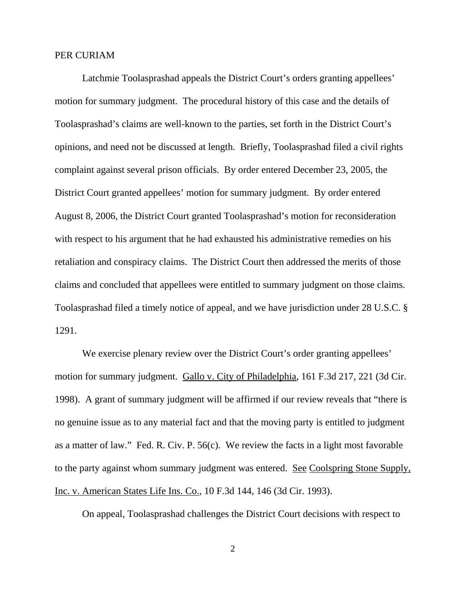#### PER CURIAM

Latchmie Toolasprashad appeals the District Court's orders granting appellees' motion for summary judgment. The procedural history of this case and the details of Toolasprashad's claims are well-known to the parties, set forth in the District Court's opinions, and need not be discussed at length. Briefly, Toolasprashad filed a civil rights complaint against several prison officials. By order entered December 23, 2005, the District Court granted appellees' motion for summary judgment. By order entered August 8, 2006, the District Court granted Toolasprashad's motion for reconsideration with respect to his argument that he had exhausted his administrative remedies on his retaliation and conspiracy claims. The District Court then addressed the merits of those claims and concluded that appellees were entitled to summary judgment on those claims. Toolasprashad filed a timely notice of appeal, and we have jurisdiction under 28 U.S.C. § 1291.

We exercise plenary review over the District Court's order granting appellees' motion for summary judgment. Gallo v. City of Philadelphia, 161 F.3d 217, 221 (3d Cir. 1998). A grant of summary judgment will be affirmed if our review reveals that "there is no genuine issue as to any material fact and that the moving party is entitled to judgment as a matter of law." Fed. R. Civ. P. 56(c). We review the facts in a light most favorable to the party against whom summary judgment was entered. See Coolspring Stone Supply, Inc. v. American States Life Ins. Co., 10 F.3d 144, 146 (3d Cir. 1993).

On appeal, Toolasprashad challenges the District Court decisions with respect to